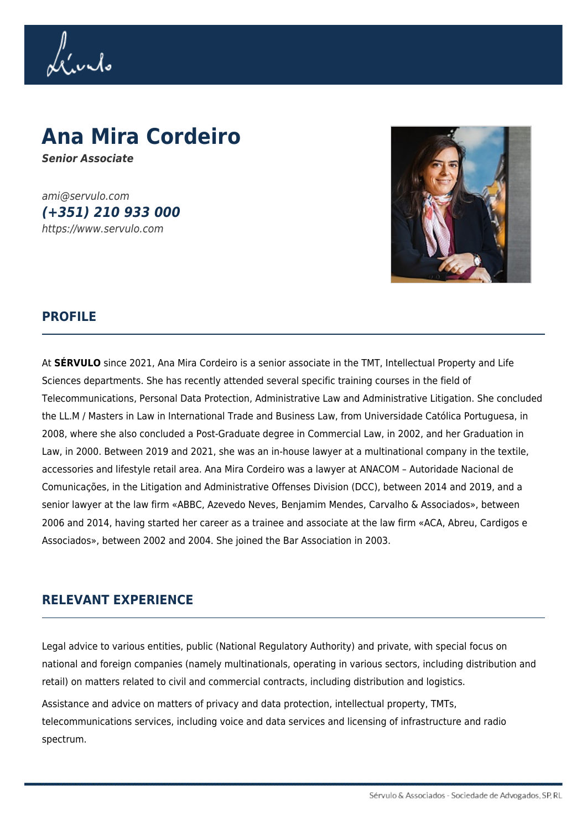Livilo

# **Ana Mira Cordeiro** *Senior Associate*

ami@servulo.com *(+351) 210 933 000* https://www.servulo.com



### **PROFILE**

At **SÉRVULO** since 2021, Ana Mira Cordeiro is a senior associate in the TMT, Intellectual Property and Life Sciences departments. She has recently attended several specific training courses in the field of Telecommunications, Personal Data Protection, Administrative Law and Administrative Litigation. She concluded the LL.M / Masters in Law in International Trade and Business Law, from Universidade Católica Portuguesa, in 2008, where she also concluded a Post-Graduate degree in Commercial Law, in 2002, and her Graduation in Law, in 2000. Between 2019 and 2021, she was an in-house lawyer at a multinational company in the textile, accessories and lifestyle retail area. Ana Mira Cordeiro was a lawyer at ANACOM – Autoridade Nacional de Comunicações, in the Litigation and Administrative Offenses Division (DCC), between 2014 and 2019, and a senior lawyer at the law firm «ABBC, Azevedo Neves, Benjamim Mendes, Carvalho & Associados», between 2006 and 2014, having started her career as a trainee and associate at the law firm «ACA, Abreu, Cardigos e Associados», between 2002 and 2004. She joined the Bar Association in 2003.

#### **RELEVANT EXPERIENCE**

Legal advice to various entities, public (National Regulatory Authority) and private, with special focus on national and foreign companies (namely multinationals, operating in various sectors, including distribution and retail) on matters related to civil and commercial contracts, including distribution and logistics.

Assistance and advice on matters of privacy and data protection, intellectual property, TMTs, telecommunications services, including voice and data services and licensing of infrastructure and radio spectrum.